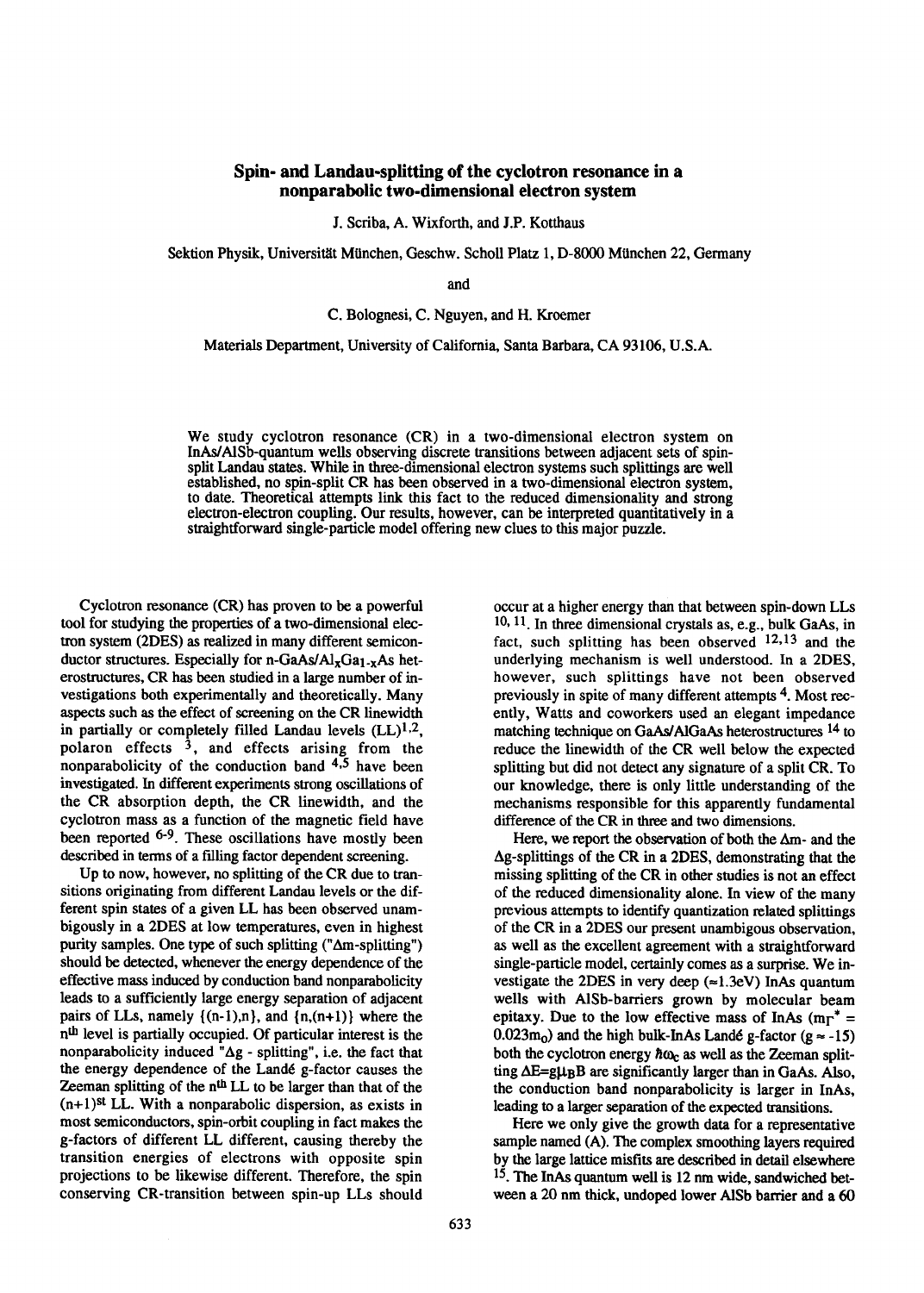## **Spin- and Landau-splitting of the cyclotron resonance in a nonparabolic two-dimensional electron system**

**J.**Scriba, A. Wixforth, and J.P. Kotthaus

Sektion Physik, Universitit MUnchen, Geschw. Scholl Platz 1, D-8000 MUnchen 22, Germany

and

C. Bolognesi, C. Nguyen, and H. Kroemer

Materials Department, University of California, Santa Barbara, CA 93106, U.S.A.

We study cyclotron resonance (CR) in a two-dimensional electron system on InAs/AlSb-quantum wells observing discrete transitions between adjacent sets of spinsplit Landau states. While in three-dimensional electron systems such splittings are well established, no spin-split CR has been observed in a two-dimensional electron system, to date. Theoretical attempts link this fact to the reduced dimensionality and strong electron-electron coupling. Our results, however, can be interpreted quantitatively in a straightforward single-particle model offering new clues to this major puzzle.

Cyclotron resonance (CR) has proven to be a powerful tool for studying the properties of a two-dimensional electron system (ZDES) as realized in many different semiconductor structures. Especially for n-GaAs/ $Al_{x}Ga_{1-x}As$  heterostructures, CR has been studied in a large number of investigations both experimentally and theoretically. Many aspects such as the effect of screening on the CR linewidth in partially or completely filled Landau levels  $(LL)^{1,2}$ , polaron effects 3, and effects arising from the nonparabolicity of the conduction band  $4.5$  have been investigated. In different experiments strong oscillations of the CR absorption depth, the CR linewidth, and the cyclotron mass as a function of the magnetic field have been reported <sup>6-9</sup>. These oscillations have mostly been described in terms of a filling factor dependent screening.

Up to now, however, no splitting of the CR due to transitions originating from different Landau levels or the different spin states of a given LL has been observed unambigously in a 2DES at low temperatures, even in highest purity samples. One type of such splitting  $("Δm-splitting")$ should be detected, whenever the energy dependence of the effective mass induced by conduction band nonparabolicity leads to a sufficiently large energy separation of adjacent pairs of LLs, namely  $\{(n-1),n\}$ , and  $\{n,(n+1)\}$  where the n<sup>th</sup> level is partially occupied. Of particular interest is the nonparabolicity induced "Ag - splitting", i.e. the fact that the energy dependence of the Landé g-factor causes the Zeeman splitting of the  $n<sup>th</sup>$  LL to be larger than that of the  $(n+1)$ <sup>st</sup> LL. With a nonparabolic dispersion, as exists in most semiconductors, spin-orbit coupling in fact makes the g-factors of different LL different, causing thereby the transition energies of electrons with opposite spin projections to be likewise different. Therefore, the spin conserving CR-transition between spin-up LLs should occur at a higher energy than that between spin-down LLs 1%11.In three dimensional crystals as, e.g., bulk GaAs, in fact, such splitting has been observed  $12,13$  and the underlying mechanism is well understood. In a 2DES, however, such splittings have not been observed previously in spite of many different attempts 4. Most recently, Watts and coworkers used an elegant impedance matching technique on GaAs/AlGaAs heterostructures <sup>14</sup> to reduce the linewidth of the CR well below the expected splitting but did not detect any signature of a split CR. To our knowledge, there is only little understanding of the mechanisms responsible for this apparently fundamental difference of the CR in three and two dimensions.

Here, we report the observation of both the  $\Delta m$ - and the  $\Delta$ g-splittings of the CR in a 2DES, demonstrating that the missing splitting of the CR in other studies is not an effect of the reduced dimensionality alone. In view of the many previous attempts to identify quantization related splittings of the CR in a 2DES our present unambigous observation, as well as the excellent agreement with a straightforward single-particle model, certainly comes as a surprise. We investigate the 2DES in very deep  $(\approx 1.3eV)$  InAs quantum wells with AlSb-barriers grown by molecular beam epitaxy. Due to the low effective mass of InAs ( $m_{\Gamma}^*$  = 0.023m<sub>0</sub>) and the high bulk-InAs Landé g-factor (g  $\approx$  -15) both the cyclotron energy  $\hbar \omega_c$  as well as the Zeeman splitting  $\Delta E = g \mu_B B$  are significantly larger than in GaAs. Also, the conduction band nonparabolicity is larger in InAs, leading to a larger separation of the expected transitions.

Here we only give the growth data for a representative sample named (A). The complex smoothing layers required by the large lattice misfits are described in detail elsewhere 15.The InAs quantum well is 12 nm wide, sandwiched between a 20 nm thick, undoped lower AlSb barrier and a 60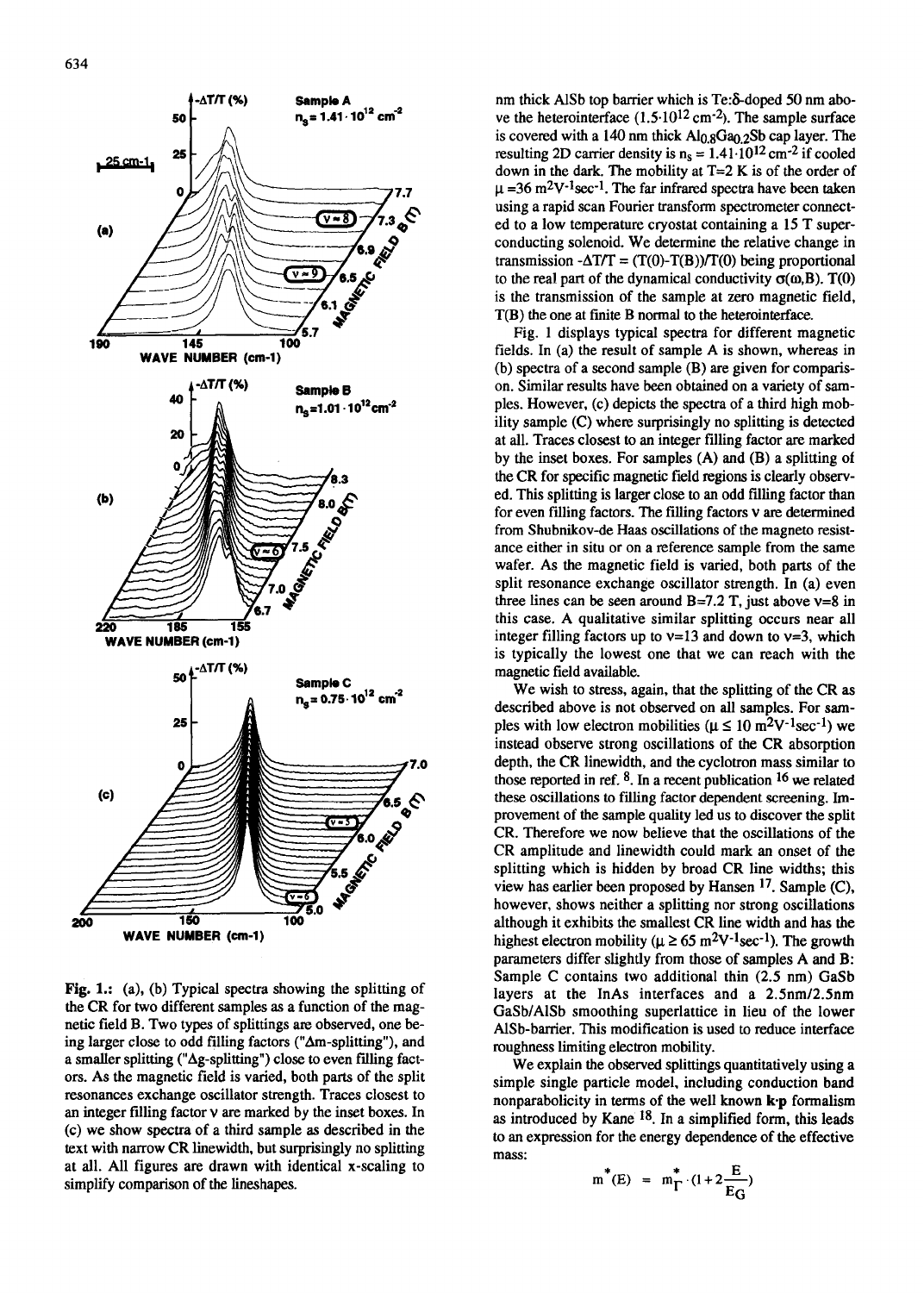

Fig. 1.: (a), (b) Typical spectra showing the splitting of the CR for two different samples as a function of the magnetic field B. Two types of splittings ate observed, one being larger close to odd filling factors ("Am-splitting"), and a smaller splitting ("Ag-splitting") close to even filling factors. As the magnetic field is varied, both parts of the split resonances exchange oscillator strength. Traces closest to an integer filling factor v are marked by the inset boxes. In (c) we show spectra of a third sample as described in the text with narrow CR linewidth, but surprisingly no splitting at all. All figures are drawn with identical x-scaling to simplify comparison of the lineshapes.

nm thick AlSb top barrier which is Te:  $\delta$ -doped 50 nm above the heterointerface  $(1.5 \cdot 10^{12} \text{ cm}^{-2})$ . The sample surface is covered with a 140 nm thick  $Al<sub>0.8</sub>Ga<sub>0.2</sub>Sb$  cap layer. The resulting 2D carrier density is  $n_s = 1.41 \cdot 10^{12}$  cm<sup>-2</sup> if cooled down in the dark. The mobility at  $T=2$  K is of the order of  $\mu$  =36 m<sup>2</sup>V<sup>-1</sup>sec<sup>-1</sup>. The far infrared spectra have been taken using a rapid scan Fourier transform spectrometer connected to a low temperature cryostat containing a 15 T superconducting solenoid. We determine the relative change in transmission  $-\Delta T/T = (T(0)-T(B))/T(0)$  being proportional to the real part of the dynamical conductivity  $\sigma(\omega, B)$ . T(0) is the transmission of the sample at zero magnetic field, T(B) the one at fmite B normal to the heterointerface.

Fig. 1 displays typical spectra for different magnetic fields. In (a) the result of sample A is shown, whereas in (b) spectra of a second sample (B) are given for comparison. Similar results have been obtained on a variety of samples. However, (c) depicts the spectra of a third high mobility sample (C) where surprisingly no splitting is detected at all. Traces closest to an integer filling factor are marked by the inset boxes. For samples (A) and (B) a splitting of the CR for specific magnetic field regions is clearly observed. This splitting is larger close to an odd filling factor than for even filling factors. The filling factors  $v$  are determined from Shubnikov-de Haas oscillations of the magneto resistance either in situ or on a reference sample from the same wafer. As the magnetic field is varied, both parts of the split resonance exchange oscillator strength. In (a) even three lines can be seen around  $B=7.2$  T, just above  $v=8$  in this case. A qualitative similar splitting occurs near all integer filling factors up to  $v=13$  and down to  $v=3$ , which is typically the lowest one that we can reach with the magnetic field available.

We wish to stress, again, that the splitting of the CR as described above is not observed on all samples. For samples with low electron mobilities ( $\mu \leq 10 \text{ m}^2 \text{V}^{-1} \text{sec}^{-1}$ ) we instead observe strong oscillations of the CR absorption depth, the CR linewidth, and the cyclotron mass similar to those reported in ref.  $8$ . In a recent publication  $16$  we related these oscillations to filling factor dependent screening. Improvement of the sample quality led us to discover the split CR. Therefore we now believe that the oscillations of the CR amplitude and linewidth could mark an onset of the splitting which is hidden by broad CR line widths; this view has earlier been proposed by Hansen <sup>17</sup>. Sample (C), however, shows neither a splitting nor strong oscillations although it exhibits the smallest CR line width and has the highest electron mobility ( $\mu \ge 65$  m<sup>2</sup>V<sup>-1</sup>sec<sup>-1</sup>). The growth parameters differ slightly from those of samples A and B: Sample C contains two additional thin (2.5 nm) GaSb layers at the InAs interfaces and a 2.5nm/2.5nm GaSb/AlSb smoothing superlattice in lieu of the lower AlSb-barrier. This modification is used to reduce interface roughness limiting electron mobility.

We explain the observed splittings quantitatively using a simple single particle model, including conduction band nonparabolicity in terms of the well known **k-p** formalism as introduced by Kane  $18$ . In a simplified form, this leads to an expression for the energy dependence of the effective mass:

$$
m^*(E) = m^*_{\Gamma} \cdot (1 + 2\frac{E}{E_G})
$$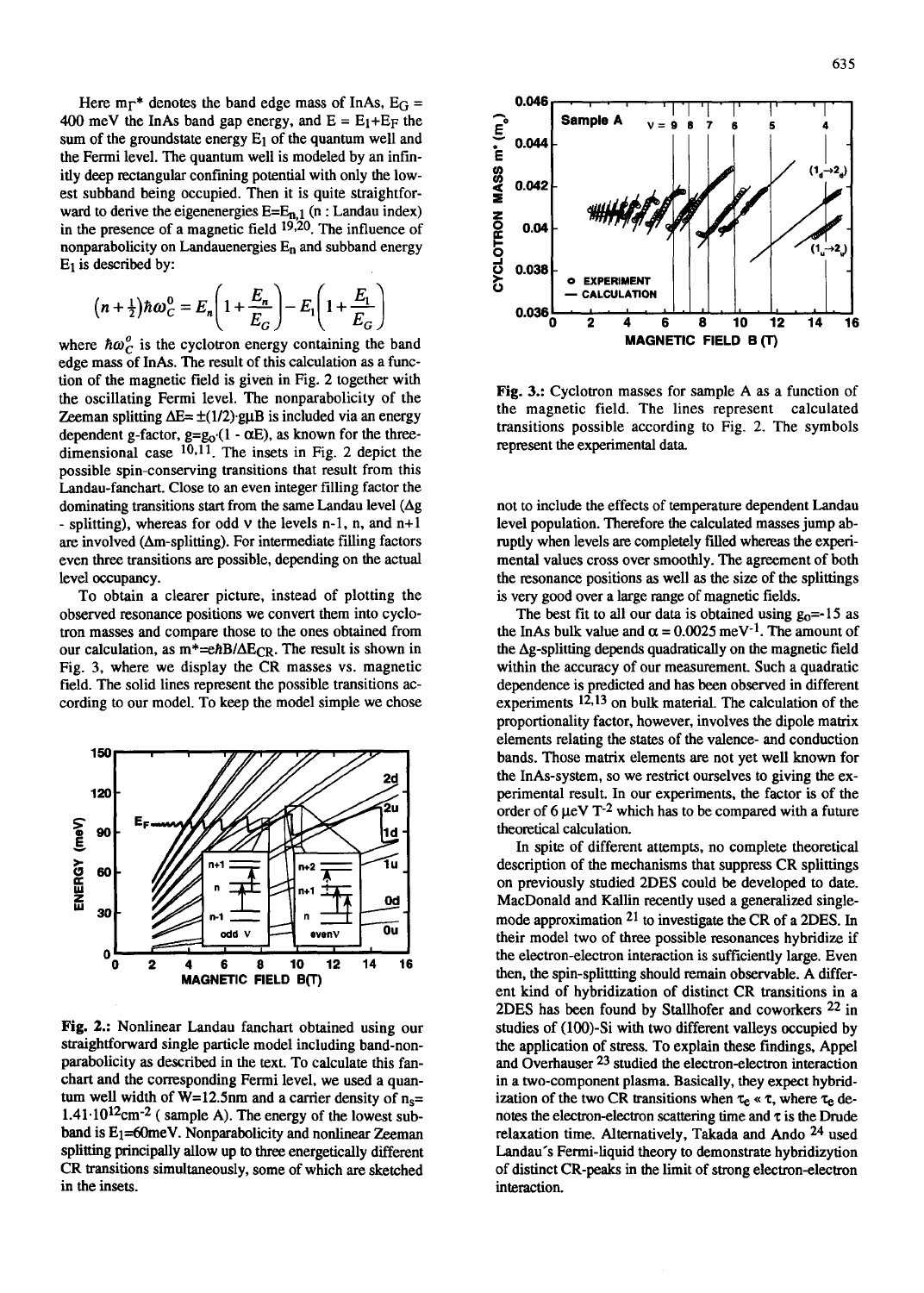Here  $m_{\Gamma}$ <sup>\*</sup> denotes the band edge mass of InAs, E<sub>G</sub> = 400 meV the InAs band gap energy, and  $E = E_1 + E_F$  the sum of the groundstate energy  $E_1$  of the quantum well and the Fermi level. The quantum well is modeled by an infinitly deep rectangular confining potential with only the lowest subband being occupied. Then it is quite straightforward to derive the eigenenergies  $E=E_{n,1}$  (n : Landau index) in the presence of a magnetic field  $19,20$ . The influence of nonparabolicity on Landauenergies  $E_n$  and subband energy  $E_1$  is described by:

$$
(n+\frac{1}{2})\hbar\omega_C^0 = E_n\left(1+\frac{E_n}{E_G}\right) - E_1\left(1+\frac{E_1}{E_G}\right)
$$

where  $\hbar \omega_C^o$  is the cyclotron energy containing the band edge mass of InAs. The result of this calculation as a function of the magnetic field is given in Fig. 2 together with the oscillating Fermi level. The nonparabolicity of the Zeeman splitting  $\Delta E = \pm (1/2)$  guB is included via an energy dependent g-factor,  $g = g_0 (1 - \alpha E)$ , as known for the threedimensional case  $10,11$ . The insets in Fig. 2 depict the possible spin-conserving transitions that result from this Landau-fanchart. Close to an even integer filling factor the dominating transitions start from the same Landau level  $(\Delta g)$ - splitting), whereas for odd  $\nu$  the levels n-1, n, and n+1 are involved  $(Δm-splitting)$ . For intermediate filling factors even three transitions are possible, depending on the actual level occupancy.

To obtain a clearer picture, instead of plotting the observed resonance positions we convert them into cyclotron masses and compare those to the ones obtained from our calculation, as  $m^* = e\hbar B/\Delta E_{CR}$ . The result is shown in Fig. 3, where we display the CR masses vs. magnetic field. The solid lines represent the possible transitions according to our model. To keep the model simple we chose



Fig. 2.: Nonlinear Landau fanchart obtained using our straightforward single particle model including band-nonparabolicity as described in the text. To calculate this fanchart and the corresponding Fermi level, we used a quantum well width of W=12.5nm and a carrier density of  $n_s=$  $1.41 \cdot 10^{12}$ cm<sup>-2</sup> (sample A). The energy of the lowest subband is  $E_1$ =60meV. Nonparabolicity and nonlinear Zeeman splitting principally allow up to three energetically different CR transitions simultaneously, some of which are sketched in the insets.



**Fig. 3.:** Cyclotron masses for sample A as a function of the magnetic field. The lines represent calculated transitions possible according to Fig. 2. The symbols represent the experimental data

not to include the effects of temperature dependent Landau level population. Therefore the calculated masses jump abruptly when levels are completely filled whereas the expetimental values cross over smoothly. The agreement of both the resonance positions as well as the size of the splittings is very good over a large range of magnetic fields.

The best fit to all our data is obtained using  $g_0 = -15$  as the InAs bulk value and  $\alpha = 0.0025$  meV<sup>-1</sup>. The amount of the  $\Delta g$ -splitting depends quadratically on the magnetic field within the accuracy of our measurement. Such a quadratic dependence is predicted and has been observed in different experiments  $12,13$  on bulk material. The calculation of the proportionality factor, however, involves the dipole matrix elements relating the states of the valence- and conduction bands. Those matrix elements are not yet well known for the InAs-system, so we restrict ourselves to giving the experimental result. In our experiments, the factor is of the order of  $6 \mu$ eV T<sup>-2</sup> which has to be compared with a future theoretical calculation.

In spite of different attempts, no complete theoretical description of the mechanisms that suppress CR splittings on previously studied 2DES could be developed to date. MacDonald and Kallin recently used a generalized singlemode approximation 21 to investigate the CR of a 2DES. In their model two of three possible resonances hybridize if the electron-electron interaction is sufficiently large. Even then, the spin-splittting should remain observable. A different kind of hybridization of distinct CR transitions in a 2DES has been found by Stallhofer and coworkers 22 in studies of (100)-Si with two different valleys occupied by the application of stress. To explain these findings, Appel and Overhauser 23 studied the electron-electron interaction in a two-component plasma. Basically, they expect hybridization of the two CR transitions when  $\tau_e \propto \tau$ , where  $\tau_e$  denotes the electron-electron scattering time and  $\tau$  is the Drude relaxation time. Alternatively, Takada and Ando  $24$  used Landau's Fermi-liquid theory to demonstrate hybridizytion of distinct CR-peaks in the limit of strong electron-electron interaction.